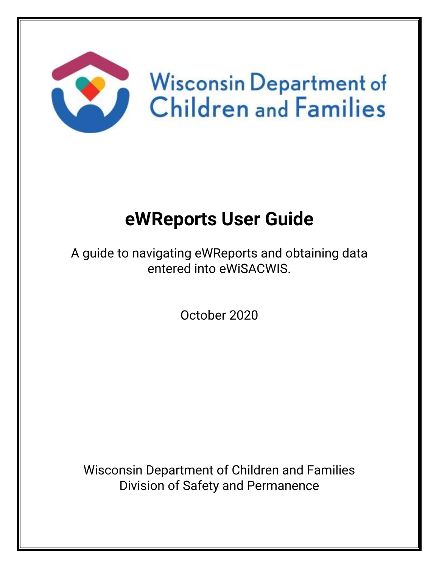

# **eWReports User Guide**

A guide to navigating eWReports and obtaining data entered into eWiSACWIS.

October 2020

Wisconsin Department of Children and Families Division of Safety and Permanence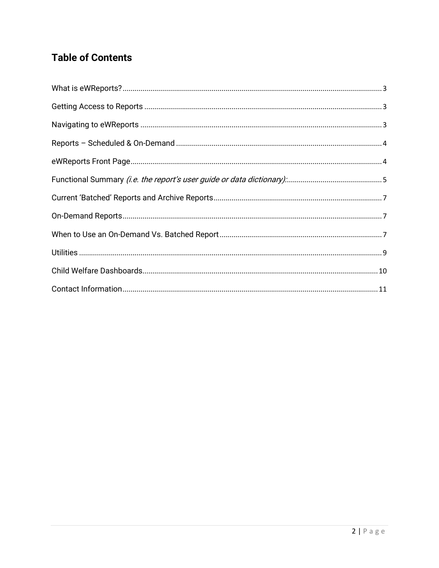#### **Table of Contents**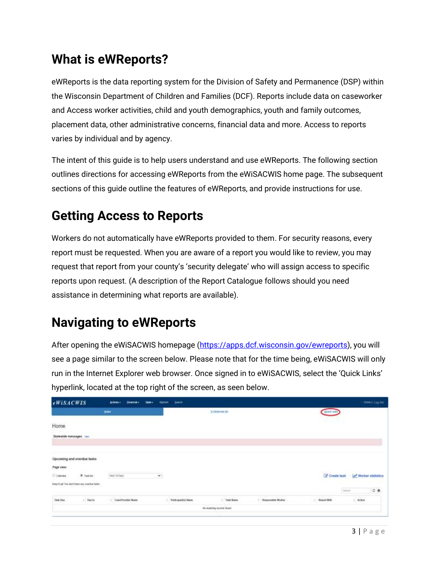#### <span id="page-2-0"></span>**What is eWReports?**

eWReports is the data reporting system for the Division of Safety and Permanence (DSP) within the Wisconsin Department of Children and Families (DCF). Reports include data on caseworker and Access worker activities, child and youth demographics, youth and family outcomes, placement data, other administrative concerns, financial data and more. Access to reports varies by individual and by agency.

The intent of this guide is to help users understand and use eWReports. The following section outlines directions for accessing eWReports from the eWiSACWIS home page. The subsequent sections of this guide outline the features of eWReports, and provide instructions for use.

#### <span id="page-2-1"></span>**Getting Access to Reports**

Workers do not automatically have eWReports provided to them. For security reasons, every report must be requested. When you are aware of a report you would like to review, you may request that report from your county's 'security delegate' who will assign access to specific reports upon request. (A description of the Report Catalogue follows should you need assistance in determining what reports are available).

# <span id="page-2-2"></span>**Navigating to eWReports**

After opening the eWiSACWIS homepage [\(https://apps.dcf.wisconsin.gov/ewreports\)](https://apps.dcf.wisconsin.gov/ewreports), you will see a page similar to the screen below. Please note that for the time being, eWiSACWIS will only run in the Internet Explorer web browser. Once signed in to eWiSACWIS, select the 'Quick Links' hyperlink, located at the top right of the screen, as seen below.

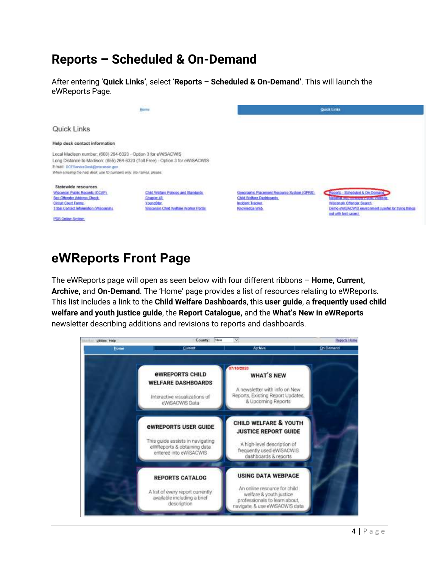#### <span id="page-3-0"></span>**Reports – Scheduled & On-Demand**

After entering '**Quick Links'**, select '**Reports – Scheduled & On-Demand'**. This will launch the eWReports Page.



#### <span id="page-3-1"></span>**eWReports Front Page**

The eWReports page will open as seen below with four different ribbons – **Home, Current, Archive,** and **On-Demand**. The 'Home' page provides a list of resources relating to eWReports. This list includes a link to the **Child Welfare Dashboards**, this **user guide**, a **frequently used child welfare and youth justice guide**, the **Report Catalogue,** and the **What's New in eWReports** newsletter describing additions and revisions to reports and dashboards.

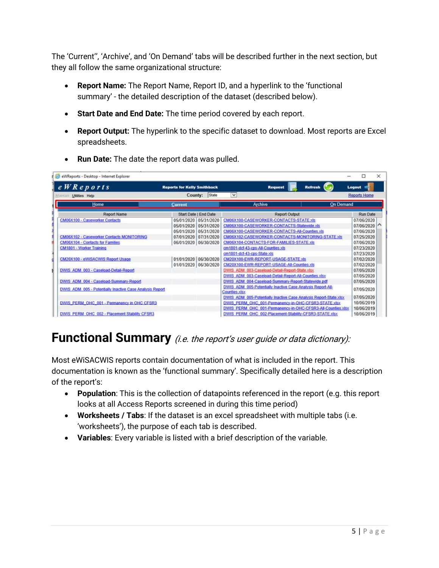The 'Current'', 'Archive', and 'On Demand' tabs will be described further in the next section, but they all follow the same organizational structure:

- **Report Name:** The Report Name, Report ID, and a hyperlink to the 'functional summary' - the detailed description of the dataset (described below).
- **Start Date and End Date:** The time period covered by each report.
- **Report Output:** The hyperlink to the specific dataset to download. Most reports are Excel spreadsheets.

| $eWR$ eports                                             | <b>Reports for Kelly Smithback</b> | <b>Request</b><br><b>Refrest</b>                                             | Logout              |
|----------------------------------------------------------|------------------------------------|------------------------------------------------------------------------------|---------------------|
| Maintain Utilities Help                                  | State<br>County:                   | $\checkmark$                                                                 | <b>Reports Home</b> |
| <b>Home</b>                                              | <b>Current</b>                     | Archive<br><b>On Demand</b>                                                  |                     |
| <b>Report Name</b>                                       | Start Date   End Date              | <b>Report Output</b>                                                         | Run Date            |
| CM06X100 - Caseworker Contacts                           | 05/31/2020<br>05/01/2020           | CM06X100-CASEWORKER-CONTACTS-STATE.xls                                       | 07/06/2020          |
|                                                          | 05/31/2020<br>05/01/2020           | CM06X100-CASEWORKER-CONTACTS-Statewide.xls                                   | 07/06/2020          |
|                                                          | 05/31/2020<br>05/01/2020           | CM06X100-CASEWORKER-CONTACTS-All-Counties.xls                                | 07/06/2020          |
| <b>CM06X102 - Caseworker Contacts MONITORING</b>         | 07/31/2020<br>07/01/2020           | CM06X102-CASEWORKER-CONTACTS-MONITORING-STATE.xls                            | 07/25/2020          |
| CM06X104 - Contacts for Families:                        | 06/30/2020<br>06/01/2020           | CM06X104-CONTACTS-FOR-FAMILIES-STATE.xls                                     | 07/06/2020          |
| CM1801 - Worker Training                                 |                                    | cm1801-dcf-43-cps-All-Counties.xls                                           | 07/23/2020          |
|                                                          |                                    | cm1801-dcf-43-cps-State.xls                                                  | 07/23/2020          |
| CM20X100 - eWiSACWIS Report Usage                        | 01/01/2020 06/30/2020              | CM20X100-EWR-REPORT-USAGE-STATE xls                                          | 07/02/2020          |
|                                                          | 01/01/2020 06/30/2020              | CM20X100-EWR-REPORT-USAGE-All-Counties.xls                                   | 07/02/2020          |
| DWIS ADM 003 - Caseload-Detail-Report                    |                                    | DWIS ADM 003-Caseload-Detail-Report-State.xlsx.                              | 07/05/2020          |
|                                                          |                                    | DWIS ADM 003-Caseload-Detail-Report-All-Counties.xlsx                        | 07/05/2020          |
| DWIS ADM 004 - Caseload-Summary-Report                   |                                    | DWIS ADM 004-Caseload-Summary-Report-Statewide.pdf                           | 07/05/2020          |
| DWIS ADM 005 - Potentially Inactive Case Analysis Report |                                    | DWIS ADM 005-Potentially Inactive Case Analysis Report-All-<br>Counties xlsx | 07/05/2020          |
|                                                          |                                    | DWIS ADM 005-Potentially Inactive Case Analysis Report-State xlsx            | 07/05/2020          |
| DWIS PERM OHC 001 - Permanency in OHC CFSR3              |                                    | DWIS PERM OHC 001-Permanency-in-OHC-CFSR3-STATE.xlsx                         | 10/06/2019          |
|                                                          |                                    | DWIS PERM OHC 001-Permanency-in-OHC-CFSR3-All-Counties xlsx                  | 10/06/2019          |
| DWIS PERM OHC 002 - Placement Stability CFSR3            |                                    | DWIS PERM OHC 002-Placement-Stability-CFSR3-STATE.xlsx                       | 10/06/2019          |

• **Run Date:** The date the report data was pulled.

#### <span id="page-4-0"></span>**Functional Summary** (i.e. the report's user guide or data dictionary):

Most eWiSACWIS reports contain documentation of what is included in the report. This documentation is known as the 'functional summary'. Specifically detailed here is a description of the report's:

- **Population**: This is the collection of datapoints referenced in the report (e.g. this report looks at all Access Reports screened in during this time period)
- **Worksheets / Tabs**: If the dataset is an excel spreadsheet with multiple tabs (i.e. 'worksheets'), the purpose of each tab is described.
- **Variables**: Every variable is listed with a brief description of the variable.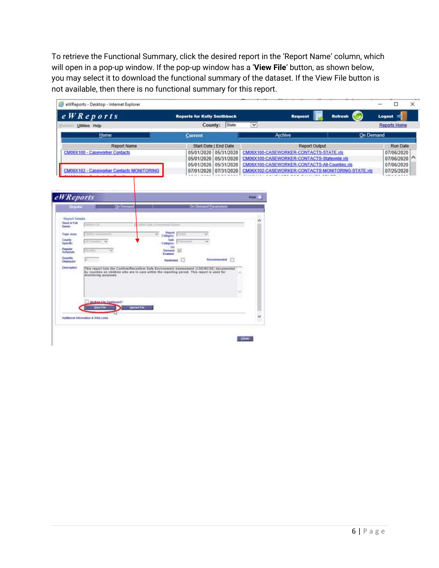To retrieve the Functional Summary, click the desired report in the 'Report Name' column, which will open in a pop-up window. If the pop-up window has a '**View File**' button, as shown below, you may select it to download the functional summary of the dataset. If the View File button is not available, then there is no functional summary for this report.

<span id="page-5-0"></span>

| State<br>County:<br>Current<br>Start Date   End Date<br>05/01/2020 05/31/2020<br>05/01/2020 05/31/2020<br>05/31/2020<br>05/01/2020<br>07/01/2020 07/31/2020 | $\checkmark$<br><b>On Demand</b><br>Archive<br><b>Report Output</b><br>CM06X100-CASEWORKER-CONTACTS-STATE.xls<br>CM06X100-CASEWORKER-CONTACTS-Statewide.xls<br>CM06X100-CASEWORKER-CONTACTS-All-Counties.xls<br>CM06X102-CASEWORKER-CONTACTS-MONITORING-STATE.xls                                                                                                                                                                   | <b>Reports Home</b><br>Run Date<br>07/06/2020<br>07/06/2020<br>07/06/2020<br>07/25/2020 |
|-------------------------------------------------------------------------------------------------------------------------------------------------------------|-------------------------------------------------------------------------------------------------------------------------------------------------------------------------------------------------------------------------------------------------------------------------------------------------------------------------------------------------------------------------------------------------------------------------------------|-----------------------------------------------------------------------------------------|
|                                                                                                                                                             |                                                                                                                                                                                                                                                                                                                                                                                                                                     |                                                                                         |
|                                                                                                                                                             |                                                                                                                                                                                                                                                                                                                                                                                                                                     |                                                                                         |
|                                                                                                                                                             |                                                                                                                                                                                                                                                                                                                                                                                                                                     |                                                                                         |
|                                                                                                                                                             |                                                                                                                                                                                                                                                                                                                                                                                                                                     |                                                                                         |
|                                                                                                                                                             |                                                                                                                                                                                                                                                                                                                                                                                                                                     |                                                                                         |
|                                                                                                                                                             |                                                                                                                                                                                                                                                                                                                                                                                                                                     |                                                                                         |
|                                                                                                                                                             |                                                                                                                                                                                                                                                                                                                                                                                                                                     |                                                                                         |
|                                                                                                                                                             |                                                                                                                                                                                                                                                                                                                                                                                                                                     |                                                                                         |
| <b>MONEY</b>                                                                                                                                                |                                                                                                                                                                                                                                                                                                                                                                                                                                     |                                                                                         |
|                                                                                                                                                             |                                                                                                                                                                                                                                                                                                                                                                                                                                     |                                                                                         |
|                                                                                                                                                             |                                                                                                                                                                                                                                                                                                                                                                                                                                     |                                                                                         |
|                                                                                                                                                             |                                                                                                                                                                                                                                                                                                                                                                                                                                     |                                                                                         |
|                                                                                                                                                             |                                                                                                                                                                                                                                                                                                                                                                                                                                     |                                                                                         |
|                                                                                                                                                             |                                                                                                                                                                                                                                                                                                                                                                                                                                     |                                                                                         |
|                                                                                                                                                             |                                                                                                                                                                                                                                                                                                                                                                                                                                     |                                                                                         |
|                                                                                                                                                             | w                                                                                                                                                                                                                                                                                                                                                                                                                                   |                                                                                         |
|                                                                                                                                                             | <b>On Demand Parameters</b><br>Report<br><b>LESTY</b><br>Calegory:<br>Sub-<br>Category<br><b>On</b><br>間<br>Demand<br>Enabled:<br>Recommended: (T)<br>Restricted<br>This report lists the Confirm/Reconfirm Safe Environment Assessment (CSE/RCSE) documented<br>by counties on children who are in care within the reporting period. This report is used for<br>The second control of the control of the control of the control of |                                                                                         |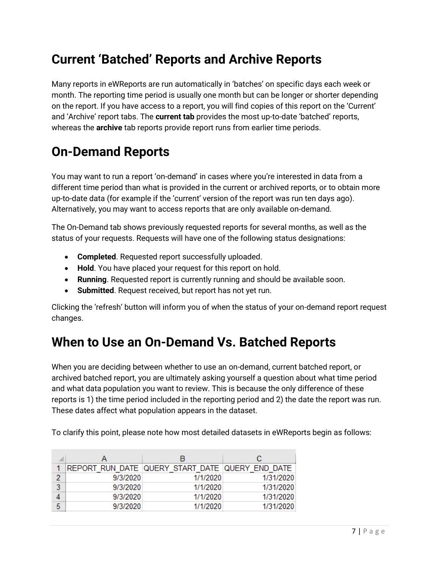#### **Current 'Batched' Reports and Archive Reports**

Many reports in eWReports are run automatically in 'batches' on specific days each week or month. The reporting time period is usually one month but can be longer or shorter depending on the report. If you have access to a report, you will find copies of this report on the 'Current' and 'Archive' report tabs. The **current tab** provides the most up-to-date 'batched' reports, whereas the **archive** tab reports provide report runs from earlier time periods.

# <span id="page-6-0"></span>**On-Demand Reports**

You may want to run a report 'on-demand' in cases where you're interested in data from a different time period than what is provided in the current or archived reports, or to obtain more up-to-date data (for example if the 'current' version of the report was run ten days ago). Alternatively, you may want to access reports that are only available on-demand.

The On-Demand tab shows previously requested reports for several months, as well as the status of your requests. Requests will have one of the following status designations:

- **Completed**. Requested report successfully uploaded.
- **Hold**. You have placed your request for this report on hold.
- **Running**. Requested report is currently running and should be available soon.
- **Submitted**. Request received, but report has not yet run.

Clicking the 'refresh' button will inform you of when the status of your on-demand report request changes.

#### <span id="page-6-1"></span>**When to Use an On-Demand Vs. Batched Reports**

When you are deciding between whether to use an on-demand, current batched report, or archived batched report, you are ultimately asking yourself a question about what time period and what data population you want to review. This is because the only difference of these reports is 1) the time period included in the reporting period and 2) the date the report was run. These dates affect what population appears in the dataset.

To clarify this point, please note how most detailed datasets in eWReports begin as follows:

|   |          | в                                               | с         |  |  |
|---|----------|-------------------------------------------------|-----------|--|--|
|   |          | REPORT RUN DATE QUERY START DATE QUERY END DATE |           |  |  |
| 2 | 9/3/2020 | 1/1/2020                                        | 1/31/2020 |  |  |
| 3 | 9/3/2020 | 1/1/2020                                        | 1/31/2020 |  |  |
|   | 9/3/2020 | 1/1/2020                                        | 1/31/2020 |  |  |
| 5 | 9/3/2020 | 1/1/2020                                        | 1/31/2020 |  |  |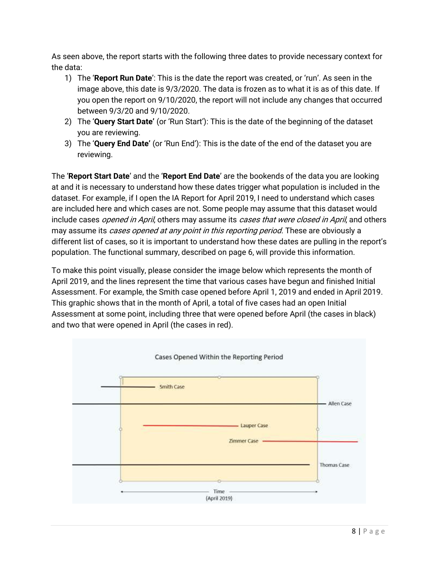As seen above, the report starts with the following three dates to provide necessary context for the data:

- 1) The '**Report Run Date**': This is the date the report was created, or 'run'. As seen in the image above, this date is 9/3/2020. The data is frozen as to what it is as of this date. If you open the report on 9/10/2020, the report will not include any changes that occurred between 9/3/20 and 9/10/2020.
- 2) The '**Query Start Date'** (or 'Run Start'): This is the date of the beginning of the dataset you are reviewing.
- 3) The '**Query End Date'** (or 'Run End'): This is the date of the end of the dataset you are reviewing.

The '**Report Start Date**' and the '**Report End Date**' are the bookends of the data you are looking at and it is necessary to understand how these dates trigger what population is included in the dataset. For example, if I open the IA Report for April 2019, I need to understand which cases are included here and which cases are not. Some people may assume that this dataset would include cases *opened in April*, others may assume its *cases that were closed in April*, and others may assume its *cases opened at any point in this reporting period*. These are obviously a different list of cases, so it is important to understand how these dates are pulling in the report's population. The functional summary, described on page 6, will provide this information.

To make this point visually, please consider the image below which represents the month of April 2019, and the lines represent the time that various cases have begun and finished Initial Assessment. For example, the Smith case opened before April 1, 2019 and ended in April 2019. This graphic shows that in the month of April, a total of five cases had an open Initial Assessment at some point, including three that were opened before April (the cases in black) and two that were opened in April (the cases in red).

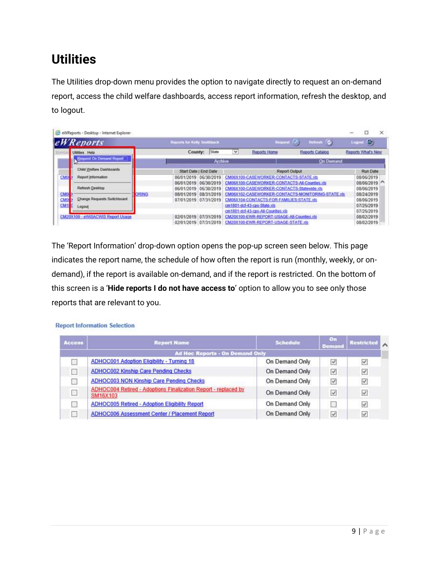# <span id="page-8-0"></span>**Utilities**

The Utilities drop-down menu provides the option to navigate directly to request an on-demand report, access the child welfare dashboards, access report information, refresh the desktop, and to logout.

| eWReports                                |       | Reports for Kelly Smithback            |                          |   | Request (25)                                                                                | Refients O                                        | 龜<br>Logout              |
|------------------------------------------|-------|----------------------------------------|--------------------------|---|---------------------------------------------------------------------------------------------|---------------------------------------------------|--------------------------|
| <b>Utilities</b> Help                    |       | County:                                | State                    | v | Reports Home                                                                                | Reports Catalog                                   | Reports What's New       |
| Request On Demand Report                 |       |                                        | Archive                  |   |                                                                                             | <b>On Demand</b>                                  |                          |
| Child Welfare Dashboards                 |       | Start Date   End Date                  |                          |   | Report Output                                                                               |                                                   | Run Date                 |
| CMO<br>Report Information                |       | 06/01/2019 06/30/2019                  |                          |   | CM06X100-CASEWORKER-CONTACTS-STATE.xts                                                      |                                                   | 08/06/2019               |
| Refresh Desktop                          |       | 06/01/2019<br>06/01/2019               | 06/30/2019<br>06/30/2019 |   | CM06X100-CASEWORKER-CONTACTS-All-Counties.xls<br>CM06X100-CASEWORKER-CONTACTS-Statewide.xls |                                                   | 08/06/2019<br>08/06/2019 |
| CMO<br>Change Requests Switchboard<br>CM | ORING | 08/01/2019<br>07/01/2019<br>07/31/2019 | 08/31/2019               |   | CM06X104-CONTACTS-FOR-FAMILIES-STATE xts                                                    | CM06X102-CASEWORKER-CONTACTS-MONITORING-STATE xis | 08/24/2019<br>08/06/2019 |
| CM <sub>1</sub><br>Logout                |       |                                        |                          |   | cm1801-dcf-43-cps-State xis<br>cm1801-dcf-43-cps-All-Counties.xls                           |                                                   | 07/25/2019<br>07/25/2019 |
| CM20X100 - eWISACWIS Report Usage        |       | 02/01/2019                             | 07/31/2019               |   | CM20X100-EWR-REPORT-USAGE-All-Counties >Is                                                  |                                                   | 08/02/2019               |
|                                          |       | 02/01/2019 07/31/2019                  |                          |   | CM20X100-EWR-REPORT-USAGE-STATE.xts                                                         |                                                   | 08/02/2019               |

The 'Report Information' drop-down option opens the pop-up screen seen below. This page indicates the report name, the schedule of how often the report is run (monthly, weekly, or ondemand), if the report is available on-demand, and if the report is restricted. On the bottom of this screen is a '**Hide reports I do not have access to**' option to allow you to see only those reports that are relevant to you.

| <b>Access</b> | <b>Report Name</b>                                                                | <b>Schedule</b> | On<br><b>Demand</b> | <b>Restricted</b> |  |
|---------------|-----------------------------------------------------------------------------------|-----------------|---------------------|-------------------|--|
|               | <b>Ad Hoc Reports - On Demand Only</b>                                            |                 |                     |                   |  |
|               | <b>ADHOC001 Adoption Eligibility - Turning 18</b>                                 | On Demand Only  | $\checkmark$        |                   |  |
|               | <b>ADHOC002 Kinship Care Pending Checks</b>                                       | On Demand Only  | $\checkmark$        | √                 |  |
|               | <b>ADHOC003 NON Kinship Care Pending Checks</b>                                   | On Demand Only  | $\checkmark$        | $\checkmark$      |  |
|               | ADHOC004 Retired - Adoptions Finalization Report - replaced by<br><b>SM16X103</b> | On Demand Only  | $\checkmark$        | $\checkmark$      |  |
|               | ADHOC005 Retired - Adoption Eligibility Report                                    | On Demand Only  |                     | $\checkmark$      |  |
|               | ADHOC006 Assessment Center / Placement Report                                     | On Demand Only  | $\omega^{\mu}$      | $\mathcal{A}$     |  |

#### **Report Information Selection**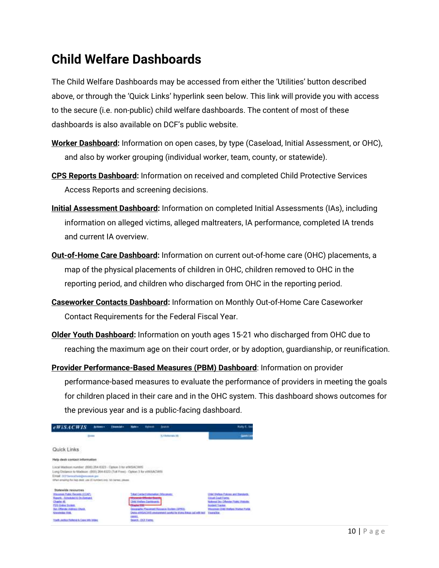#### <span id="page-9-0"></span>**Child Welfare Dashboards**

The Child Welfare Dashboards may be accessed from either the 'Utilities' button described above, or through the 'Quick Links' hyperlink seen below. This link will provide you with access to the secure (i.e. non-public) child welfare dashboards. The content of most of these dashboards is also available on DCF's public website.

- **Worker Dashboard:** Information on open cases, by type (Caseload, Initial Assessment, or OHC), and also by worker grouping (individual worker, team, county, or statewide).
- **CPS Reports Dashboard:** Information on received and completed Child Protective Services Access Reports and screening decisions.
- **Initial Assessment Dashboard:** Information on completed Initial Assessments (IAs), including information on alleged victims, alleged maltreaters, IA performance, completed IA trends and current IA overview.
- **Out-of-Home Care Dashboard:** Information on current out-of-home care (OHC) placements, a map of the physical placements of children in OHC, children removed to OHC in the reporting period, and children who discharged from OHC in the reporting period.
- **Caseworker Contacts Dashboard:** Information on Monthly Out-of-Home Care Caseworker Contact Requirements for the Federal Fiscal Year.
- **Older Youth Dashboard:** Information on youth ages 15-21 who discharged from OHC due to reaching the maximum age on their court order, or by adoption, guardianship, or reunification.
- **Provider Performance-Based Measures (PBM) Dashboard**: Information on provider performance-based measures to evaluate the performance of providers in meeting the goals for children placed in their care and in the OHC system. This dashboard shows outcomes for the previous year and is a public-facing dashboard.

| <b>eWISACWIS</b><br><b>Actions of</b>                                                                                                                                                                                                                       | <b>Electroniche</b>              | <b>Skale</b> =                                                                                                                       | <b>Fallmad</b>                                                                                              | <b>Smake Chi</b>                                                                                                        | Mally E. In                                                                                                                                                                                      |
|-------------------------------------------------------------------------------------------------------------------------------------------------------------------------------------------------------------------------------------------------------------|----------------------------------|--------------------------------------------------------------------------------------------------------------------------------------|-------------------------------------------------------------------------------------------------------------|-------------------------------------------------------------------------------------------------------------------------|--------------------------------------------------------------------------------------------------------------------------------------------------------------------------------------------------|
| <b>Books</b>                                                                                                                                                                                                                                                |                                  |                                                                                                                                      |                                                                                                             | 10 Holometer                                                                                                            | <b>Gent Le</b>                                                                                                                                                                                   |
| Quick Links                                                                                                                                                                                                                                                 |                                  |                                                                                                                                      |                                                                                                             |                                                                                                                         |                                                                                                                                                                                                  |
| Help desk contact information                                                                                                                                                                                                                               | <b>CALL HARRISON, MARTINE AT</b> |                                                                                                                                      |                                                                                                             |                                                                                                                         |                                                                                                                                                                                                  |
| Local Madison number; (608) 264-6323 - Option 3 for eWISACWIE<br>Long Distance to Madeon: (895) 264-8322 (Toll Feed - Option 3 for eWISACWITE<br>Email: DCF larmesDavis@resonate.gov<br>When emailing the Nep desir, use 12 numbers only. No cames, please. |                                  |                                                                                                                                      |                                                                                                             |                                                                                                                         |                                                                                                                                                                                                  |
| Stutewide resources<br>Wassenkin Public Records (2) CAPS<br><b>Routs - Schedule &amp; On Deblack</b><br>Charles 40<br>FOR OWNER BUNK<br><b>Bor, Offender Address Chock.</b><br><b>Scientisting West</b>                                                     |                                  | <u> 1989 - 1989 - 1989 - 1989 - 1989 - 1989 - 1989 - 1989 - 1989 - 1989 - 1989 - 1989 - 1989 - 1989 - 1989 - 19</u><br><b>CERTIL</b> | Tribal Cardact Information /Wincometri<br><b>Woodraw Officials Exert</b><br><b>Child Vindore Cardinards</b> | Drespiertis, Flippetont Hassand, Station (OPHT).<br>Detox HAVEACOOS ANIMATING (assistant for shore friend and will lead | <b>Child Wellace Policies and Standards</b><br>Crook Coast Forms<br>National Sky Offender Plake, Avecales<br>trudent Tracker.<br>Wissenson, Child Wolfans Wolded Portal.<br><b>Years/Italy -</b> |
| Yorth Jection Helenial & Case Into VANes                                                                                                                                                                                                                    |                                  |                                                                                                                                      | Isund, DGI Lami,                                                                                            |                                                                                                                         |                                                                                                                                                                                                  |